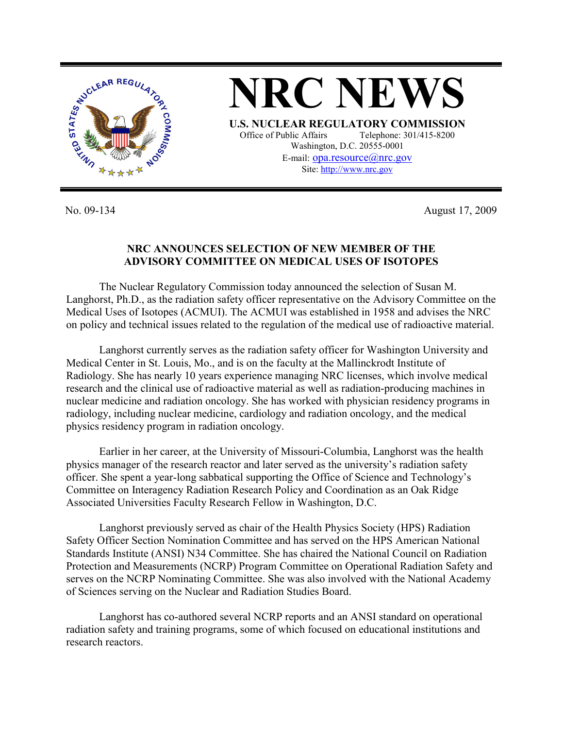

No. 09-134 August 17, 2009

## **NRC ANNOUNCES SELECTION OF NEW MEMBER OF THE ADVISORY COMMITTEE ON MEDICAL USES OF ISOTOPES**

 The Nuclear Regulatory Commission today announced the selection of Susan M. Langhorst, Ph.D., as the radiation safety officer representative on the Advisory Committee on the Medical Uses of Isotopes (ACMUI). The ACMUI was established in 1958 and advises the NRC on policy and technical issues related to the regulation of the medical use of radioactive material.

Langhorst currently serves as the radiation safety officer for Washington University and Medical Center in St. Louis, Mo., and is on the faculty at the Mallinckrodt Institute of Radiology. She has nearly 10 years experience managing NRC licenses, which involve medical research and the clinical use of radioactive material as well as radiation-producing machines in nuclear medicine and radiation oncology. She has worked with physician residency programs in radiology, including nuclear medicine, cardiology and radiation oncology, and the medical physics residency program in radiation oncology.

Earlier in her career, at the University of Missouri-Columbia, Langhorst was the health physics manager of the research reactor and later served as the university's radiation safety officer. She spent a year-long sabbatical supporting the Office of Science and Technology's Committee on Interagency Radiation Research Policy and Coordination as an Oak Ridge Associated Universities Faculty Research Fellow in Washington, D.C.

Langhorst previously served as chair of the Health Physics Society (HPS) Radiation Safety Officer Section Nomination Committee and has served on the HPS American National Standards Institute (ANSI) N34 Committee. She has chaired the National Council on Radiation Protection and Measurements (NCRP) Program Committee on Operational Radiation Safety and serves on the NCRP Nominating Committee. She was also involved with the National Academy of Sciences serving on the Nuclear and Radiation Studies Board.

Langhorst has co-authored several NCRP reports and an ANSI standard on operational radiation safety and training programs, some of which focused on educational institutions and research reactors.